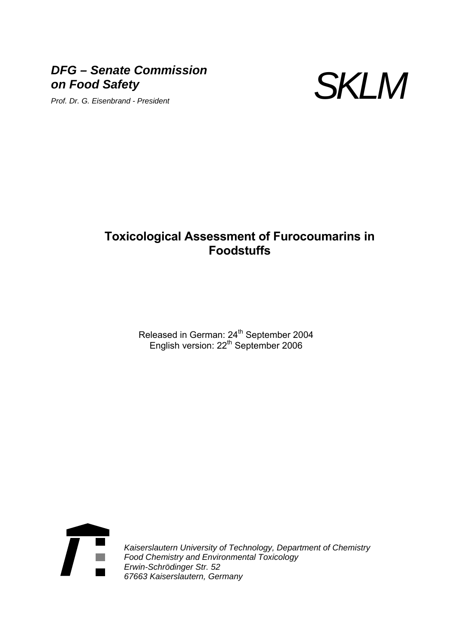# *DFG – Senate Commission on Food Safety*



# **Toxicological Assessment of Furocoumarins in Foodstuffs**

Released in German: 24<sup>th</sup> September 2004 English version: 22<sup>th</sup> September 2006



*Kaiserslautern University of Technology, Department of Chemistry Food Chemistry and Environmental Toxicology Erwin-Schrödinger Str. 52 67663 Kaiserslautern, Germany*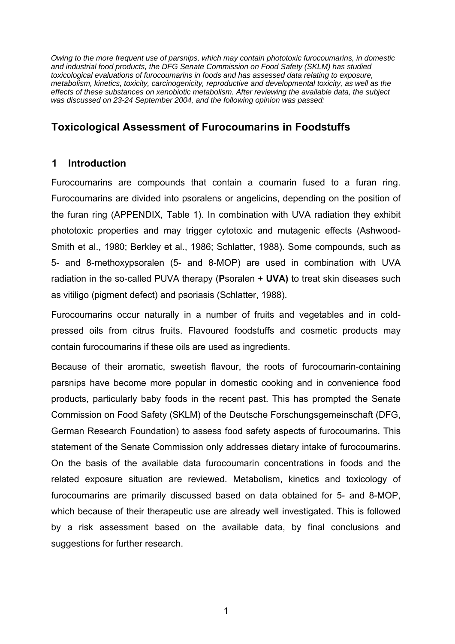*Owing to the more frequent use of parsnips, which may contain phototoxic furocoumarins, in domestic and industrial food products, the DFG Senate Commission on Food Safety (SKLM) has studied toxicological evaluations of furocoumarins in foods and has assessed data relating to exposure, metabolism, kinetics, toxicity, carcinogenicity, reproductive and developmental toxicity, as well as the effects of these substances on xenobiotic metabolism. After reviewing the available data, the subject was discussed on 23-24 September 2004, and the following opinion was passed:*

## **Toxicological Assessment of Furocoumarins in Foodstuffs**

## **1 Introduction**

Furocoumarins are compounds that contain a coumarin fused to a furan ring. Furocoumarins are divided into psoralens or angelicins, depending on the position of the furan ring (APPENDIX, Table 1). In combination with UVA radiation they exhibit phototoxic properties and may trigger cytotoxic and mutagenic effects (Ashwood-Smith et al., 1980; Berkley et al., 1986; Schlatter, 1988). Some compounds, such as 5- and 8-methoxypsoralen (5- and 8-MOP) are used in combination with UVA radiation in the so-called PUVA therapy (**P**soralen + **UVA)** to treat skin diseases such as vitiligo (pigment defect) and psoriasis (Schlatter, 1988).

Furocoumarins occur naturally in a number of fruits and vegetables and in coldpressed oils from citrus fruits. Flavoured foodstuffs and cosmetic products may contain furocoumarins if these oils are used as ingredients.

Because of their aromatic, sweetish flavour, the roots of furocoumarin-containing parsnips have become more popular in domestic cooking and in convenience food products, particularly baby foods in the recent past. This has prompted the Senate Commission on Food Safety (SKLM) of the Deutsche Forschungsgemeinschaft (DFG, German Research Foundation) to assess food safety aspects of furocoumarins. This statement of the Senate Commission only addresses dietary intake of furocoumarins. On the basis of the available data furocoumarin concentrations in foods and the related exposure situation are reviewed. Metabolism, kinetics and toxicology of furocoumarins are primarily discussed based on data obtained for 5- and 8-MOP, which because of their therapeutic use are already well investigated. This is followed by a risk assessment based on the available data, by final conclusions and suggestions for further research.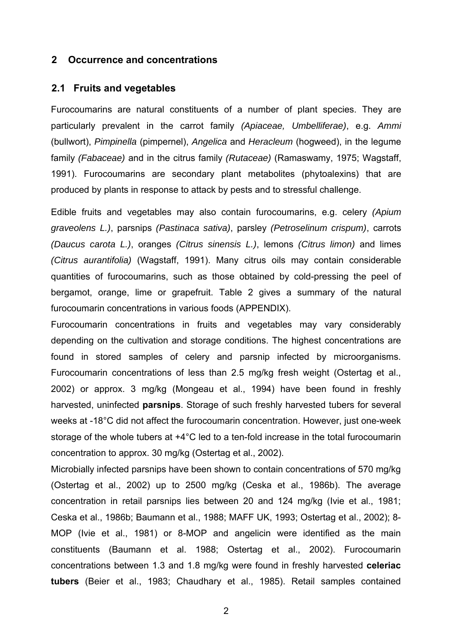#### **2 Occurrence and concentrations**

### **2.1 Fruits and vegetables**

Furocoumarins are natural constituents of a number of plant species. They are particularly prevalent in the carrot family *(Apiaceae, Umbelliferae)*, e.g. *Ammi* (bullwort), *Pimpinella* (pimpernel), *Angelica* and *Heracleum* (hogweed), in the legume family *(Fabaceae)* and in the citrus family *(Rutaceae)* (Ramaswamy, 1975; Wagstaff, 1991). Furocoumarins are secondary plant metabolites (phytoalexins) that are produced by plants in response to attack by pests and to stressful challenge.

Edible fruits and vegetables may also contain furocoumarins, e.g. celery *(Apium graveolens L.)*, parsnips *(Pastinaca sativa)*, parsley *(Petroselinum crispum)*, carrots *(Daucus carota L.)*, oranges *(Citrus sinensis L.)*, lemons *(Citrus limon)* and limes *(Citrus aurantifolia)* (Wagstaff, 1991). Many citrus oils may contain considerable quantities of furocoumarins, such as those obtained by cold-pressing the peel of bergamot, orange, lime or grapefruit. Table 2 gives a summary of the natural furocoumarin concentrations in various foods (APPENDIX).

Furocoumarin concentrations in fruits and vegetables may vary considerably depending on the cultivation and storage conditions. The highest concentrations are found in stored samples of celery and parsnip infected by microorganisms. Furocoumarin concentrations of less than 2.5 mg/kg fresh weight (Ostertag et al., 2002) or approx. 3 mg/kg (Mongeau et al., 1994) have been found in freshly harvested, uninfected **parsnips**. Storage of such freshly harvested tubers for several weeks at -18°C did not affect the furocoumarin concentration. However, just one-week storage of the whole tubers at +4°C led to a ten-fold increase in the total furocoumarin concentration to approx. 30 mg/kg (Ostertag et al., 2002).

Microbially infected parsnips have been shown to contain concentrations of 570 mg/kg (Ostertag et al., 2002) up to 2500 mg/kg (Ceska et al., 1986b). The average concentration in retail parsnips lies between 20 and 124 mg/kg (Ivie et al., 1981; Ceska et al., 1986b; Baumann et al., 1988; MAFF UK, 1993; Ostertag et al., 2002); 8- MOP (Ivie et al., 1981) or 8-MOP and angelicin were identified as the main constituents (Baumann et al. 1988; Ostertag et al., 2002). Furocoumarin concentrations between 1.3 and 1.8 mg/kg were found in freshly harvested **celeriac tubers** (Beier et al., 1983; Chaudhary et al., 1985). Retail samples contained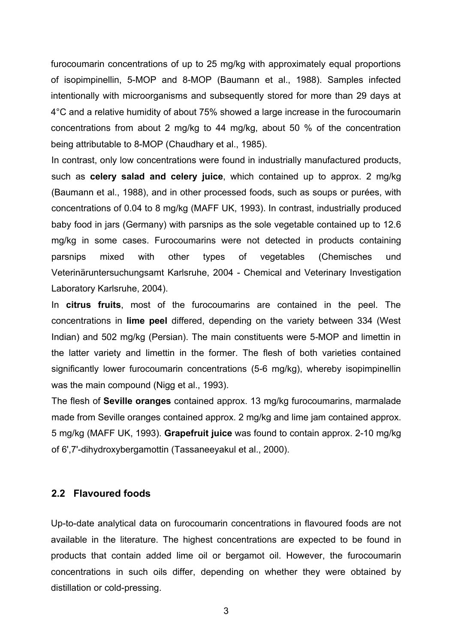furocoumarin concentrations of up to 25 mg/kg with approximately equal proportions of isopimpinellin, 5-MOP and 8-MOP (Baumann et al., 1988). Samples infected intentionally with microorganisms and subsequently stored for more than 29 days at 4°C and a relative humidity of about 75% showed a large increase in the furocoumarin concentrations from about 2 mg/kg to 44 mg/kg, about 50 % of the concentration being attributable to 8-MOP (Chaudhary et al., 1985).

In contrast, only low concentrations were found in industrially manufactured products, such as **celery salad and celery juice**, which contained up to approx. 2 mg/kg (Baumann et al., 1988), and in other processed foods, such as soups or purées, with concentrations of 0.04 to 8 mg/kg (MAFF UK, 1993). In contrast, industrially produced baby food in jars (Germany) with parsnips as the sole vegetable contained up to 12.6 mg/kg in some cases. Furocoumarins were not detected in products containing parsnips mixed with other types of vegetables (Chemisches und Veterinäruntersuchungsamt Karlsruhe, 2004 - Chemical and Veterinary Investigation Laboratory Karlsruhe, 2004).

In **citrus fruits**, most of the furocoumarins are contained in the peel. The concentrations in **lime peel** differed, depending on the variety between 334 (West Indian) and 502 mg/kg (Persian). The main constituents were 5-MOP and limettin in the latter variety and limettin in the former. The flesh of both varieties contained significantly lower furocoumarin concentrations (5-6 mg/kg), whereby isopimpinellin was the main compound (Nigg et al., 1993).

The flesh of **Seville oranges** contained approx. 13 mg/kg furocoumarins, marmalade made from Seville oranges contained approx. 2 mg/kg and lime jam contained approx. 5 mg/kg (MAFF UK, 1993). **Grapefruit juice** was found to contain approx. 2-10 mg/kg of 6',7'-dihydroxybergamottin (Tassaneeyakul et al., 2000).

#### **2.2 Flavoured foods**

Up-to-date analytical data on furocoumarin concentrations in flavoured foods are not available in the literature. The highest concentrations are expected to be found in products that contain added lime oil or bergamot oil. However, the furocoumarin concentrations in such oils differ, depending on whether they were obtained by distillation or cold-pressing.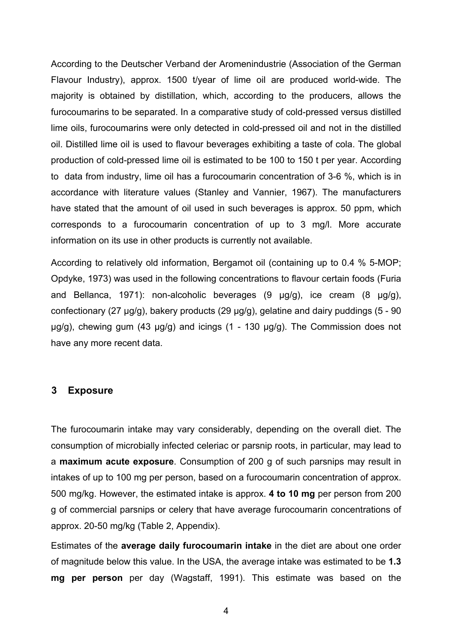According to the Deutscher Verband der Aromenindustrie (Association of the German Flavour Industry), approx. 1500 t/year of lime oil are produced world-wide. The majority is obtained by distillation, which, according to the producers, allows the furocoumarins to be separated. In a comparative study of cold-pressed versus distilled lime oils, furocoumarins were only detected in cold-pressed oil and not in the distilled oil. Distilled lime oil is used to flavour beverages exhibiting a taste of cola. The global production of cold-pressed lime oil is estimated to be 100 to 150 t per year. According to data from industry, lime oil has a furocoumarin concentration of 3-6 %, which is in accordance with literature values (Stanley and Vannier, 1967). The manufacturers have stated that the amount of oil used in such beverages is approx. 50 ppm, which corresponds to a furocoumarin concentration of up to 3 mg/l. More accurate information on its use in other products is currently not available.

According to relatively old information, Bergamot oil (containing up to 0.4 % 5-MOP; Opdyke, 1973) was used in the following concentrations to flavour certain foods (Furia and Bellanca, 1971): non-alcoholic beverages (9 µg/g), ice cream (8 µg/g), confectionary (27 µg/g), bakery products (29 µg/g), gelatine and dairy puddings (5 - 90 µg/g), chewing gum (43 µg/g) and icings (1 - 130 µg/g). The Commission does not have any more recent data.

#### **3 Exposure**

The furocoumarin intake may vary considerably, depending on the overall diet. The consumption of microbially infected celeriac or parsnip roots, in particular, may lead to a **maximum acute exposure**. Consumption of 200 g of such parsnips may result in intakes of up to 100 mg per person, based on a furocoumarin concentration of approx. 500 mg/kg. However, the estimated intake is approx. **4 to 10 mg** per person from 200 g of commercial parsnips or celery that have average furocoumarin concentrations of approx. 20-50 mg/kg (Table 2, Appendix).

Estimates of the **average daily furocoumarin intake** in the diet are about one order of magnitude below this value. In the USA, the average intake was estimated to be **1.3 mg per person** per day (Wagstaff, 1991). This estimate was based on the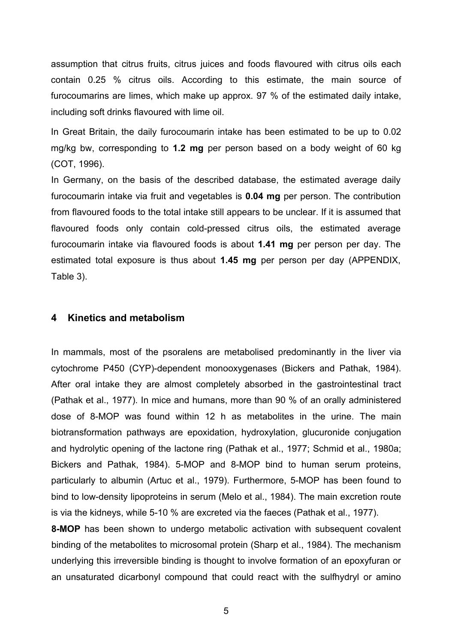assumption that citrus fruits, citrus juices and foods flavoured with citrus oils each contain 0.25 % citrus oils. According to this estimate, the main source of furocoumarins are limes, which make up approx. 97 % of the estimated daily intake, including soft drinks flavoured with lime oil.

In Great Britain, the daily furocoumarin intake has been estimated to be up to 0.02 mg/kg bw, corresponding to **1.2 mg** per person based on a body weight of 60 kg (COT, 1996).

In Germany, on the basis of the described database, the estimated average daily furocoumarin intake via fruit and vegetables is **0.04 mg** per person. The contribution from flavoured foods to the total intake still appears to be unclear. If it is assumed that flavoured foods only contain cold-pressed citrus oils, the estimated average furocoumarin intake via flavoured foods is about **1.41 mg** per person per day. The estimated total exposure is thus about **1.45 mg** per person per day (APPENDIX, Table 3).

#### **4 Kinetics and metabolism**

In mammals, most of the psoralens are metabolised predominantly in the liver via cytochrome P450 (CYP)-dependent monooxygenases (Bickers and Pathak, 1984). After oral intake they are almost completely absorbed in the gastrointestinal tract (Pathak et al., 1977). In mice and humans, more than 90 % of an orally administered dose of 8-MOP was found within 12 h as metabolites in the urine. The main biotransformation pathways are epoxidation, hydroxylation, glucuronide conjugation and hydrolytic opening of the lactone ring (Pathak et al., 1977; Schmid et al., 1980a; Bickers and Pathak, 1984). 5-MOP and 8-MOP bind to human serum proteins, particularly to albumin (Artuc et al., 1979). Furthermore, 5-MOP has been found to bind to low-density lipoproteins in serum (Melo et al., 1984). The main excretion route is via the kidneys, while 5-10 % are excreted via the faeces (Pathak et al., 1977).

**8-MOP** has been shown to undergo metabolic activation with subsequent covalent binding of the metabolites to microsomal protein (Sharp et al., 1984). The mechanism underlying this irreversible binding is thought to involve formation of an epoxyfuran or an unsaturated dicarbonyl compound that could react with the sulfhydryl or amino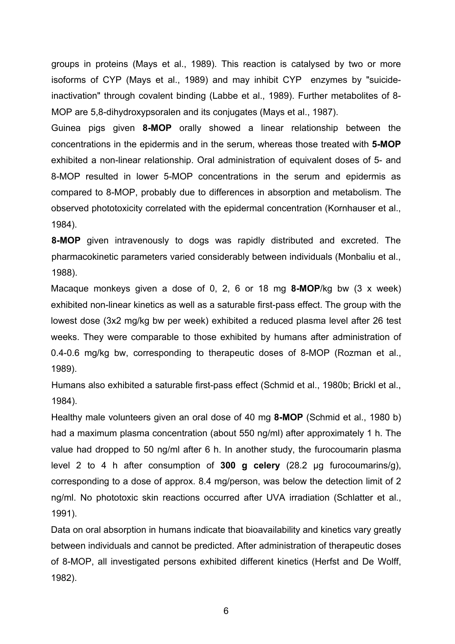groups in proteins (Mays et al., 1989). This reaction is catalysed by two or more isoforms of CYP (Mays et al., 1989) and may inhibit CYP enzymes by "suicideinactivation" through covalent binding (Labbe et al., 1989). Further metabolites of 8- MOP are 5,8-dihydroxypsoralen and its conjugates (Mays et al., 1987).

Guinea pigs given **8-MOP** orally showed a linear relationship between the concentrations in the epidermis and in the serum, whereas those treated with **5-MOP** exhibited a non-linear relationship. Oral administration of equivalent doses of 5- and 8-MOP resulted in lower 5-MOP concentrations in the serum and epidermis as compared to 8-MOP, probably due to differences in absorption and metabolism. The observed phototoxicity correlated with the epidermal concentration (Kornhauser et al., 1984).

**8-MOP** given intravenously to dogs was rapidly distributed and excreted. The pharmacokinetic parameters varied considerably between individuals (Monbaliu et al., 1988).

Macaque monkeys given a dose of 0, 2, 6 or 18 mg **8-MOP**/kg bw (3 x week) exhibited non-linear kinetics as well as a saturable first-pass effect. The group with the lowest dose (3x2 mg/kg bw per week) exhibited a reduced plasma level after 26 test weeks. They were comparable to those exhibited by humans after administration of 0.4-0.6 mg/kg bw, corresponding to therapeutic doses of 8-MOP (Rozman et al., 1989).

Humans also exhibited a saturable first-pass effect (Schmid et al., 1980b; Brickl et al., 1984).

Healthy male volunteers given an oral dose of 40 mg **8-MOP** (Schmid et al., 1980 b) had a maximum plasma concentration (about 550 ng/ml) after approximately 1 h. The value had dropped to 50 ng/ml after 6 h. In another study, the furocoumarin plasma level 2 to 4 h after consumption of **300 g celery** (28.2 µg furocoumarins/g), corresponding to a dose of approx. 8.4 mg/person, was below the detection limit of 2 ng/ml. No phototoxic skin reactions occurred after UVA irradiation (Schlatter et al., 1991).

Data on oral absorption in humans indicate that bioavailability and kinetics vary greatly between individuals and cannot be predicted. After administration of therapeutic doses of 8-MOP, all investigated persons exhibited different kinetics (Herfst and De Wolff, 1982).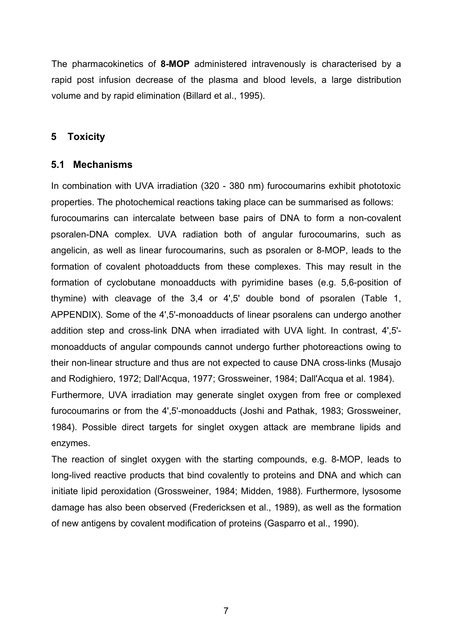The pharmacokinetics of **8-MOP** administered intravenously is characterised by a rapid post infusion decrease of the plasma and blood levels, a large distribution volume and by rapid elimination (Billard et al., 1995).

## **5 Toxicity**

### **5.1 Mechanisms**

In combination with UVA irradiation (320 - 380 nm) furocoumarins exhibit phototoxic properties. The photochemical reactions taking place can be summarised as follows: furocoumarins can intercalate between base pairs of DNA to form a non-covalent psoralen-DNA complex. UVA radiation both of angular furocoumarins, such as angelicin, as well as linear furocoumarins, such as psoralen or 8-MOP, leads to the formation of covalent photoadducts from these complexes. This may result in the formation of cyclobutane monoadducts with pyrimidine bases (e.g. 5,6-position of thymine) with cleavage of the 3,4 or 4',5' double bond of psoralen (Table 1, APPENDIX). Some of the 4',5'-monoadducts of linear psoralens can undergo another addition step and cross-link DNA when irradiated with UVA light. In contrast, 4',5' monoadducts of angular compounds cannot undergo further photoreactions owing to their non-linear structure and thus are not expected to cause DNA cross-links (Musajo and Rodighiero, 1972; Dall'Acqua, 1977; Grossweiner, 1984; Dall'Acqua et al. 1984). Furthermore, UVA irradiation may generate singlet oxygen from free or complexed furocoumarins or from the 4',5'-monoadducts (Joshi and Pathak, 1983; Grossweiner, 1984). Possible direct targets for singlet oxygen attack are membrane lipids and enzymes.

The reaction of singlet oxygen with the starting compounds, e.g. 8-MOP, leads to long-lived reactive products that bind covalently to proteins and DNA and which can initiate lipid peroxidation (Grossweiner, 1984; Midden, 1988). Furthermore, lysosome damage has also been observed (Fredericksen et al., 1989), as well as the formation of new antigens by covalent modification of proteins (Gasparro et al., 1990).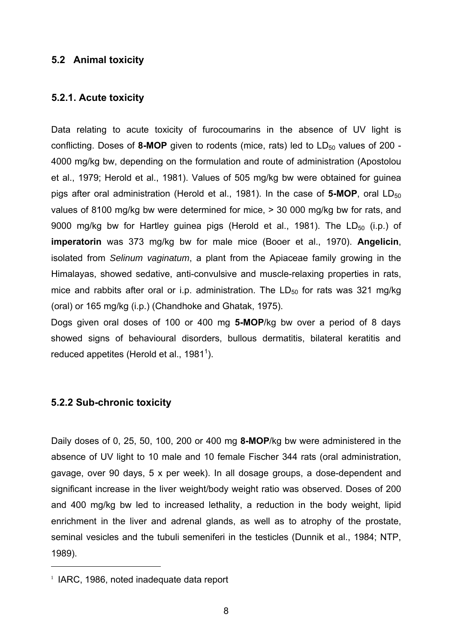#### **5.2 Animal toxicity**

#### **5.2.1. Acute toxicity**

Data relating to acute toxicity of furocoumarins in the absence of UV light is conflicting. Doses of **8-MOP** given to rodents (mice, rats) led to  $LD_{50}$  values of 200 -4000 mg/kg bw, depending on the formulation and route of administration (Apostolou et al., 1979; Herold et al., 1981). Values of 505 mg/kg bw were obtained for guinea pigs after oral administration (Herold et al., 1981). In the case of **5-MOP**, oral  $LD_{50}$ values of 8100 mg/kg bw were determined for mice, > 30 000 mg/kg bw for rats, and 9000 mg/kg bw for Hartley guinea pigs (Herold et al., 1981). The  $LD_{50}$  (i.p.) of **imperatorin** was 373 mg/kg bw for male mice (Booer et al., 1970). **Angelicin**, isolated from *Selinum vaginatum*, a plant from the Apiaceae family growing in the Himalayas, showed sedative, anti-convulsive and muscle-relaxing properties in rats, mice and rabbits after oral or i.p. administration. The  $LD_{50}$  for rats was 321 mg/kg (oral) or 165 mg/kg (i.p.) (Chandhoke and Ghatak, 1975).

Dogs given oral doses of 100 or 400 mg **5-MOP**/kg bw over a period of 8 days showed signs of behavioural disorders, bullous dermatitis, bilateral keratitis and reduced appetites (Herold et al., 1981<sup>1</sup>).

#### **5.2.2 Sub-chronic toxicity**

Daily doses of 0, 25, 50, 100, 200 or 400 mg **8-MOP**/kg bw were administered in the absence of UV light to 10 male and 10 female Fischer 344 rats (oral administration, gavage, over 90 days, 5 x per week). In all dosage groups, a dose-dependent and significant increase in the liver weight/body weight ratio was observed. Doses of 200 and 400 mg/kg bw led to increased lethality, a reduction in the body weight, lipid enrichment in the liver and adrenal glands, as well as to atrophy of the prostate, seminal vesicles and the tubuli semeniferi in the testicles (Dunnik et al., 1984; NTP, 1989).

-

 $1$  IARC, 1986, noted inadequate data report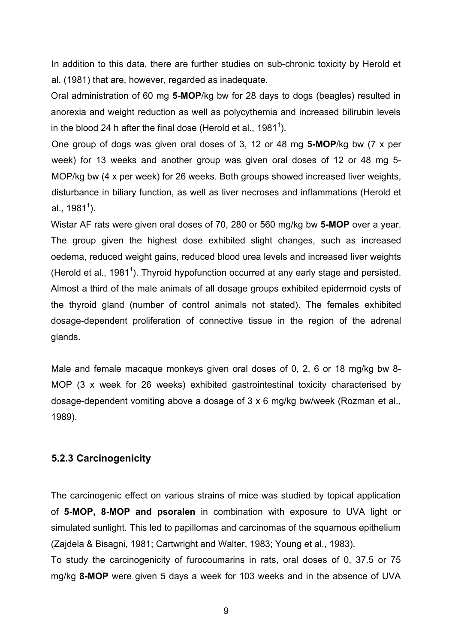In addition to this data, there are further studies on sub-chronic toxicity by Herold et al. (1981) that are, however, regarded as inadequate.

Oral administration of 60 mg **5-MOP**/kg bw for 28 days to dogs (beagles) resulted in anorexia and weight reduction as well as polycythemia and increased bilirubin levels in the blood 24 h after the final dose (Herold et al., 1981<sup>1</sup>).

One group of dogs was given oral doses of 3, 12 or 48 mg **5-MOP**/kg bw (7 x per week) for 13 weeks and another group was given oral doses of 12 or 48 mg 5- MOP/kg bw (4 x per week) for 26 weeks. Both groups showed increased liver weights, disturbance in biliary function, as well as liver necroses and inflammations (Herold et al., 1981<sup>1</sup>).

Wistar AF rats were given oral doses of 70, 280 or 560 mg/kg bw **5-MOP** over a year. The group given the highest dose exhibited slight changes, such as increased oedema, reduced weight gains, reduced blood urea levels and increased liver weights (Herold et al., 1981<sup>1</sup>). Thyroid hypofunction occurred at any early stage and persisted. Almost a third of the male animals of all dosage groups exhibited epidermoid cysts of the thyroid gland (number of control animals not stated). The females exhibited dosage-dependent proliferation of connective tissue in the region of the adrenal glands.

Male and female macaque monkeys given oral doses of 0, 2, 6 or 18 mg/kg bw 8- MOP (3 x week for 26 weeks) exhibited gastrointestinal toxicity characterised by dosage-dependent vomiting above a dosage of 3 x 6 mg/kg bw/week (Rozman et al., 1989).

### **5.2.3 Carcinogenicity**

The carcinogenic effect on various strains of mice was studied by topical application of **5-MOP, 8-MOP and psoralen** in combination with exposure to UVA light or simulated sunlight. This led to papillomas and carcinomas of the squamous epithelium (Zajdela & Bisagni, 1981; Cartwright and Walter, 1983; Young et al., 1983). To study the carcinogenicity of furocoumarins in rats, oral doses of 0, 37.5 or 75

mg/kg **8-MOP** were given 5 days a week for 103 weeks and in the absence of UVA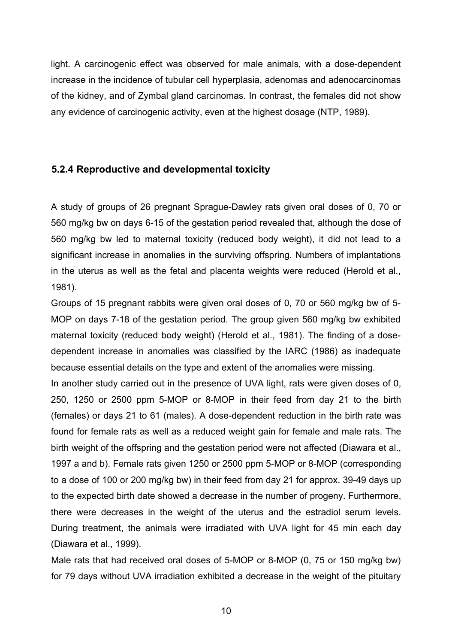light. A carcinogenic effect was observed for male animals, with a dose-dependent increase in the incidence of tubular cell hyperplasia, adenomas and adenocarcinomas of the kidney, and of Zymbal gland carcinomas. In contrast, the females did not show any evidence of carcinogenic activity, even at the highest dosage (NTP, 1989).

#### **5.2.4 Reproductive and developmental toxicity**

A study of groups of 26 pregnant Sprague-Dawley rats given oral doses of 0, 70 or 560 mg/kg bw on days 6-15 of the gestation period revealed that, although the dose of 560 mg/kg bw led to maternal toxicity (reduced body weight), it did not lead to a significant increase in anomalies in the surviving offspring. Numbers of implantations in the uterus as well as the fetal and placenta weights were reduced (Herold et al., 1981).

Groups of 15 pregnant rabbits were given oral doses of 0, 70 or 560 mg/kg bw of 5- MOP on days 7-18 of the gestation period. The group given 560 mg/kg bw exhibited maternal toxicity (reduced body weight) (Herold et al., 1981). The finding of a dosedependent increase in anomalies was classified by the IARC (1986) as inadequate because essential details on the type and extent of the anomalies were missing.

In another study carried out in the presence of UVA light, rats were given doses of 0, 250, 1250 or 2500 ppm 5-MOP or 8-MOP in their feed from day 21 to the birth (females) or days 21 to 61 (males). A dose-dependent reduction in the birth rate was found for female rats as well as a reduced weight gain for female and male rats. The birth weight of the offspring and the gestation period were not affected (Diawara et al., 1997 a and b). Female rats given 1250 or 2500 ppm 5-MOP or 8-MOP (corresponding to a dose of 100 or 200 mg/kg bw) in their feed from day 21 for approx. 39-49 days up to the expected birth date showed a decrease in the number of progeny. Furthermore, there were decreases in the weight of the uterus and the estradiol serum levels. During treatment, the animals were irradiated with UVA light for 45 min each day (Diawara et al., 1999).

Male rats that had received oral doses of 5-MOP or 8-MOP (0, 75 or 150 mg/kg bw) for 79 days without UVA irradiation exhibited a decrease in the weight of the pituitary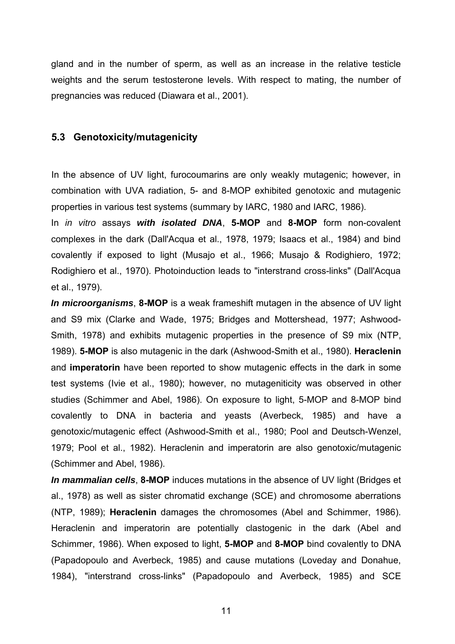gland and in the number of sperm, as well as an increase in the relative testicle weights and the serum testosterone levels. With respect to mating, the number of pregnancies was reduced (Diawara et al., 2001).

#### **5.3 Genotoxicity/mutagenicity**

In the absence of UV light, furocoumarins are only weakly mutagenic; however, in combination with UVA radiation, 5- and 8-MOP exhibited genotoxic and mutagenic properties in various test systems (summary by IARC, 1980 and IARC, 1986).

In *in vitro* assays *with isolated DNA*, **5-MOP** and **8-MOP** form non-covalent complexes in the dark (Dall'Acqua et al., 1978, 1979; Isaacs et al., 1984) and bind covalently if exposed to light (Musajo et al., 1966; Musajo & Rodighiero, 1972; Rodighiero et al., 1970). Photoinduction leads to "interstrand cross-links" (Dall'Acqua et al., 1979).

*In microorganisms*, **8-MOP** is a weak frameshift mutagen in the absence of UV light and S9 mix (Clarke and Wade, 1975; Bridges and Mottershead, 1977; Ashwood-Smith, 1978) and exhibits mutagenic properties in the presence of S9 mix (NTP, 1989). **5-MOP** is also mutagenic in the dark (Ashwood-Smith et al., 1980). **Heraclenin** and **imperatorin** have been reported to show mutagenic effects in the dark in some test systems (Ivie et al., 1980); however, no mutageniticity was observed in other studies (Schimmer and Abel, 1986). On exposure to light, 5-MOP and 8-MOP bind covalently to DNA in bacteria and yeasts (Averbeck, 1985) and have a genotoxic/mutagenic effect (Ashwood-Smith et al., 1980; Pool and Deutsch-Wenzel, 1979; Pool et al., 1982). Heraclenin and imperatorin are also genotoxic/mutagenic (Schimmer and Abel, 1986).

*In mammalian cells*, **8-MOP** induces mutations in the absence of UV light (Bridges et al., 1978) as well as sister chromatid exchange (SCE) and chromosome aberrations (NTP, 1989); **Heraclenin** damages the chromosomes (Abel and Schimmer, 1986). Heraclenin and imperatorin are potentially clastogenic in the dark (Abel and Schimmer, 1986). When exposed to light, **5-MOP** and **8-MOP** bind covalently to DNA (Papadopoulo and Averbeck, 1985) and cause mutations (Loveday and Donahue, 1984), "interstrand cross-links" (Papadopoulo and Averbeck, 1985) and SCE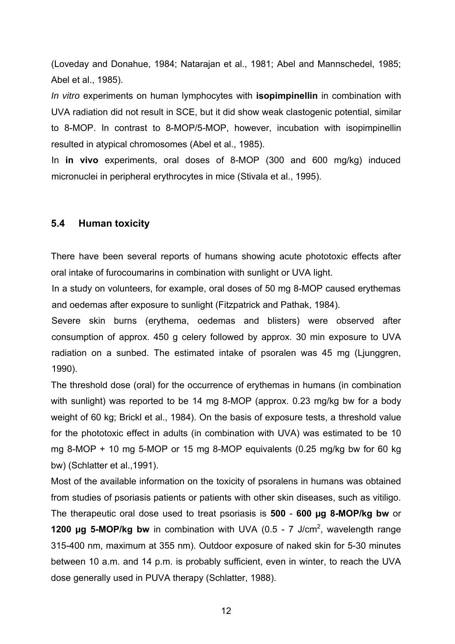(Loveday and Donahue, 1984; Natarajan et al., 1981; Abel and Mannschedel, 1985; Abel et al., 1985).

*In vitro* experiments on human lymphocytes with **isopimpinellin** in combination with UVA radiation did not result in SCE, but it did show weak clastogenic potential, similar to 8-MOP. In contrast to 8-MOP/5-MOP, however, incubation with isopimpinellin resulted in atypical chromosomes (Abel et al., 1985).

In **in vivo** experiments, oral doses of 8-MOP (300 and 600 mg/kg) induced micronuclei in peripheral erythrocytes in mice (Stivala et al., 1995).

#### **5.4 Human toxicity**

There have been several reports of humans showing acute phototoxic effects after oral intake of furocoumarins in combination with sunlight or UVA light.

In a study on volunteers, for example, oral doses of 50 mg 8-MOP caused erythemas and oedemas after exposure to sunlight (Fitzpatrick and Pathak, 1984).

Severe skin burns (erythema, oedemas and blisters) were observed after consumption of approx. 450 g celery followed by approx. 30 min exposure to UVA radiation on a sunbed. The estimated intake of psoralen was 45 mg (Ljunggren, 1990).

The threshold dose (oral) for the occurrence of erythemas in humans (in combination with sunlight) was reported to be 14 mg 8-MOP (approx. 0.23 mg/kg bw for a body weight of 60 kg; Brickl et al., 1984). On the basis of exposure tests, a threshold value for the phototoxic effect in adults (in combination with UVA) was estimated to be 10 mg 8-MOP + 10 mg 5-MOP or 15 mg 8-MOP equivalents (0.25 mg/kg bw for 60 kg bw) (Schlatter et al.,1991).

Most of the available information on the toxicity of psoralens in humans was obtained from studies of psoriasis patients or patients with other skin diseases, such as vitiligo. The therapeutic oral dose used to treat psoriasis is **500** - **600 µg 8-MOP/kg bw** or **1200 µg 5-MOP/kg bw** in combination with UVA (0.5 -  $7 \text{ J/cm}^2$ , wavelength range 315-400 nm, maximum at 355 nm). Outdoor exposure of naked skin for 5-30 minutes between 10 a.m. and 14 p.m. is probably sufficient, even in winter, to reach the UVA dose generally used in PUVA therapy (Schlatter, 1988).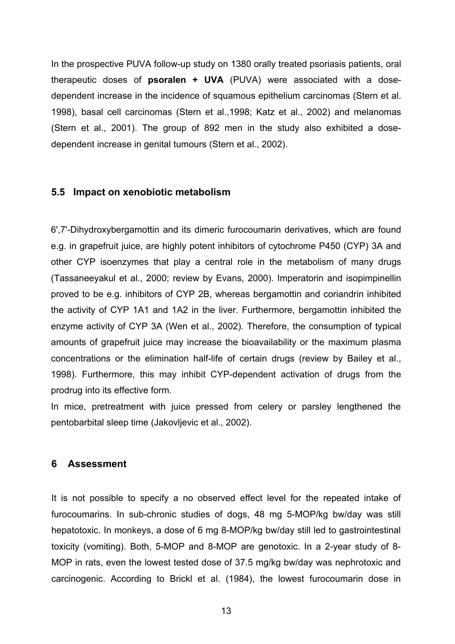In the prospective PUVA follow-up study on 1380 orally treated psoriasis patients, oral therapeutic doses of **psoralen + UVA** (PUVA) were associated with a dosedependent increase in the incidence of squamous epithelium carcinomas (Stern et al. 1998), basal cell carcinomas (Stern et al.,1998; Katz et al., 2002) and melanomas (Stern et al., 2001). The group of 892 men in the study also exhibited a dosedependent increase in genital tumours (Stern et al., 2002).

#### **5.5 Impact on xenobiotic metabolism**

6',7'-Dihydroxybergamottin and its dimeric furocoumarin derivatives, which are found e.g. in grapefruit juice, are highly potent inhibitors of cytochrome P450 (CYP) 3A and other CYP isoenzymes that play a central role in the metabolism of many drugs (Tassaneeyakul et al., 2000; review by Evans, 2000). Imperatorin and isopimpinellin proved to be e.g. inhibitors of CYP 2B, whereas bergamottin and coriandrin inhibited the activity of CYP 1A1 and 1A2 in the liver. Furthermore, bergamottin inhibited the enzyme activity of CYP 3A (Wen et al., 2002). Therefore, the consumption of typical amounts of grapefruit juice may increase the bioavailability or the maximum plasma concentrations or the elimination half-life of certain drugs (review by Bailey et al., 1998). Furthermore, this may inhibit CYP-dependent activation of drugs from the prodrug into its effective form.

In mice, pretreatment with juice pressed from celery or parsley lengthened the pentobarbital sleep time (Jakovljevic et al., 2002).

#### **6 Assessment**

It is not possible to specify a no observed effect level for the repeated intake of furocoumarins. In sub-chronic studies of dogs, 48 mg 5-MOP/kg bw/day was still hepatotoxic. In monkeys, a dose of 6 mg 8-MOP/kg bw/day still led to gastrointestinal toxicity (vomiting). Both, 5-MOP and 8-MOP are genotoxic. In a 2-year study of 8- MOP in rats, even the lowest tested dose of 37.5 mg/kg bw/day was nephrotoxic and carcinogenic. According to Brickl et al. (1984), the lowest furocoumarin dose in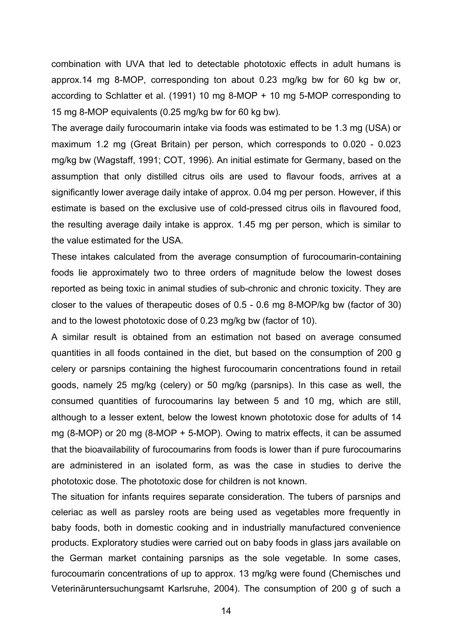combination with UVA that led to detectable phototoxic effects in adult humans is approx.14 mg 8-MOP, corresponding ton about 0.23 mg/kg bw for 60 kg bw or, according to Schlatter et al. (1991) 10 mg 8-MOP + 10 mg 5-MOP corresponding to 15 mg 8-MOP equivalents (0.25 mg/kg bw for 60 kg bw).

The average daily furocoumarin intake via foods was estimated to be 1.3 mg (USA) or maximum 1.2 mg (Great Britain) per person, which corresponds to 0.020 - 0.023 mg/kg bw (Wagstaff, 1991; COT, 1996). An initial estimate for Germany, based on the assumption that only distilled citrus oils are used to flavour foods, arrives at a significantly lower average daily intake of approx. 0.04 mg per person. However, if this estimate is based on the exclusive use of cold-pressed citrus oils in flavoured food, the resulting average daily intake is approx. 1.45 mg per person, which is similar to the value estimated for the USA.

These intakes calculated from the average consumption of furocoumarin-containing foods lie approximately two to three orders of magnitude below the lowest doses reported as being toxic in animal studies of sub-chronic and chronic toxicity. They are closer to the values of therapeutic doses of 0.5 - 0.6 mg 8-MOP/kg bw (factor of 30) and to the lowest phototoxic dose of 0.23 mg/kg bw (factor of 10).

A similar result is obtained from an estimation not based on average consumed quantities in all foods contained in the diet, but based on the consumption of 200 g celery or parsnips containing the highest furocoumarin concentrations found in retail goods, namely 25 mg/kg (celery) or 50 mg/kg (parsnips). In this case as well, the consumed quantities of furocoumarins lay between 5 and 10 mg, which are still, although to a lesser extent, below the lowest known phototoxic dose for adults of 14 mg (8-MOP) or 20 mg (8-MOP + 5-MOP). Owing to matrix effects, it can be assumed that the bioavailability of furocoumarins from foods is lower than if pure furocoumarins are administered in an isolated form, as was the case in studies to derive the phototoxic dose. The phototoxic dose for children is not known.

The situation for infants requires separate consideration. The tubers of parsnips and celeriac as well as parsley roots are being used as vegetables more frequently in baby foods, both in domestic cooking and in industrially manufactured convenience products. Exploratory studies were carried out on baby foods in glass jars available on the German market containing parsnips as the sole vegetable. In some cases, furocoumarin concentrations of up to approx. 13 mg/kg were found (Chemisches und Veterinäruntersuchungsamt Karlsruhe, 2004). The consumption of 200 g of such a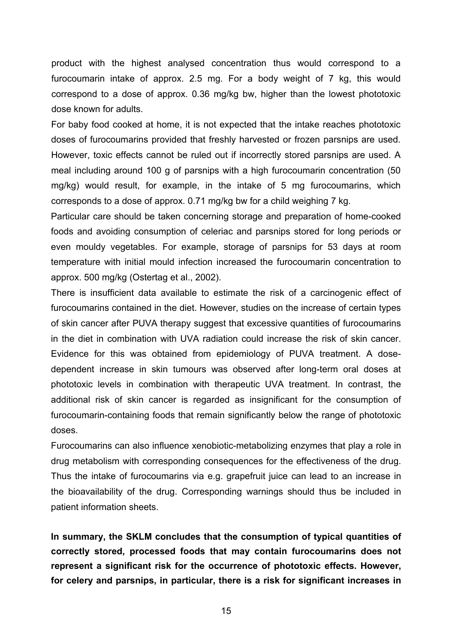product with the highest analysed concentration thus would correspond to a furocoumarin intake of approx. 2.5 mg. For a body weight of 7 kg, this would correspond to a dose of approx. 0.36 mg/kg bw, higher than the lowest phototoxic dose known for adults.

For baby food cooked at home, it is not expected that the intake reaches phototoxic doses of furocoumarins provided that freshly harvested or frozen parsnips are used. However, toxic effects cannot be ruled out if incorrectly stored parsnips are used. A meal including around 100 g of parsnips with a high furocoumarin concentration (50 mg/kg) would result, for example, in the intake of 5 mg furocoumarins, which corresponds to a dose of approx. 0.71 mg/kg bw for a child weighing 7 kg.

Particular care should be taken concerning storage and preparation of home-cooked foods and avoiding consumption of celeriac and parsnips stored for long periods or even mouldy vegetables. For example, storage of parsnips for 53 days at room temperature with initial mould infection increased the furocoumarin concentration to approx. 500 mg/kg (Ostertag et al., 2002).

There is insufficient data available to estimate the risk of a carcinogenic effect of furocoumarins contained in the diet. However, studies on the increase of certain types of skin cancer after PUVA therapy suggest that excessive quantities of furocoumarins in the diet in combination with UVA radiation could increase the risk of skin cancer. Evidence for this was obtained from epidemiology of PUVA treatment. A dosedependent increase in skin tumours was observed after long-term oral doses at phototoxic levels in combination with therapeutic UVA treatment. In contrast, the additional risk of skin cancer is regarded as insignificant for the consumption of furocoumarin-containing foods that remain significantly below the range of phototoxic doses.

Furocoumarins can also influence xenobiotic-metabolizing enzymes that play a role in drug metabolism with corresponding consequences for the effectiveness of the drug. Thus the intake of furocoumarins via e.g. grapefruit juice can lead to an increase in the bioavailability of the drug. Corresponding warnings should thus be included in patient information sheets.

**In summary, the SKLM concludes that the consumption of typical quantities of correctly stored, processed foods that may contain furocoumarins does not represent a significant risk for the occurrence of phototoxic effects. However, for celery and parsnips, in particular, there is a risk for significant increases in**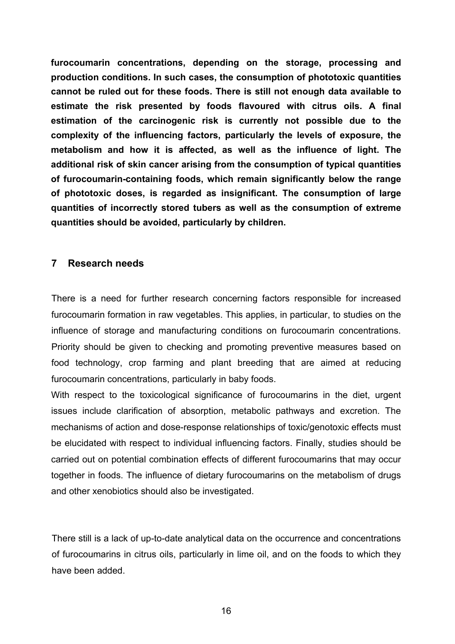**furocoumarin concentrations, depending on the storage, processing and production conditions. In such cases, the consumption of phototoxic quantities cannot be ruled out for these foods. There is still not enough data available to estimate the risk presented by foods flavoured with citrus oils. A final estimation of the carcinogenic risk is currently not possible due to the complexity of the influencing factors, particularly the levels of exposure, the metabolism and how it is affected, as well as the influence of light. The additional risk of skin cancer arising from the consumption of typical quantities of furocoumarin-containing foods, which remain significantly below the range of phototoxic doses, is regarded as insignificant. The consumption of large quantities of incorrectly stored tubers as well as the consumption of extreme quantities should be avoided, particularly by children.**

#### **7 Research needs**

There is a need for further research concerning factors responsible for increased furocoumarin formation in raw vegetables. This applies, in particular, to studies on the influence of storage and manufacturing conditions on furocoumarin concentrations. Priority should be given to checking and promoting preventive measures based on food technology, crop farming and plant breeding that are aimed at reducing furocoumarin concentrations, particularly in baby foods.

With respect to the toxicological significance of furocoumarins in the diet, urgent issues include clarification of absorption, metabolic pathways and excretion. The mechanisms of action and dose-response relationships of toxic/genotoxic effects must be elucidated with respect to individual influencing factors. Finally, studies should be carried out on potential combination effects of different furocoumarins that may occur together in foods. The influence of dietary furocoumarins on the metabolism of drugs and other xenobiotics should also be investigated.

There still is a lack of up-to-date analytical data on the occurrence and concentrations of furocoumarins in citrus oils, particularly in lime oil, and on the foods to which they have been added.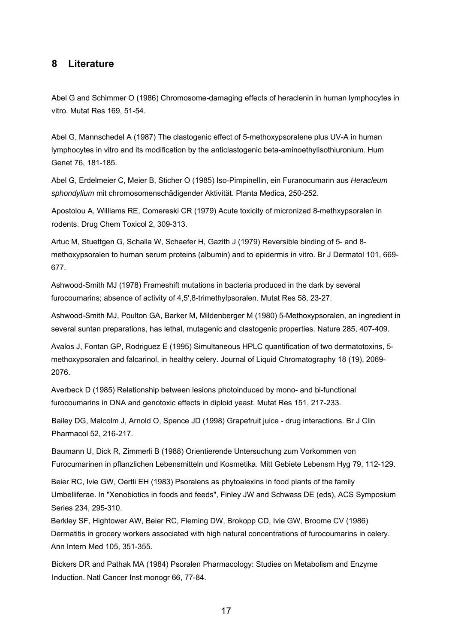#### **8 Literature**

Abel G and Schimmer O (1986) Chromosome-damaging effects of heraclenin in human lymphocytes in vitro. Mutat Res 169, 51-54.

Abel G, Mannschedel A (1987) The clastogenic effect of 5-methoxypsoralene plus UV-A in human lymphocytes in vitro and its modification by the anticlastogenic beta-aminoethylisothiuronium. Hum Genet 76, 181-185.

Abel G, Erdelmeier C, Meier B, Sticher O (1985) Iso-Pimpinellin, ein Furanocumarin aus *Heracleum sphondylium* mit chromosomenschädigender Aktivität. Planta Medica, 250-252.

Apostolou A, Williams RE, Comereski CR (1979) Acute toxicity of micronized 8-methxypsoralen in rodents. Drug Chem Toxicol 2, 309-313.

Artuc M, Stuettgen G, Schalla W, Schaefer H, Gazith J (1979) Reversible binding of 5- and 8 methoxypsoralen to human serum proteins (albumin) and to epidermis in vitro. Br J Dermatol 101, 669- 677.

Ashwood-Smith MJ (1978) Frameshift mutations in bacteria produced in the dark by several furocoumarins; absence of activity of 4,5',8-trimethylpsoralen. Mutat Res 58, 23-27.

Ashwood-Smith MJ, Poulton GA, Barker M, Mildenberger M (1980) 5-Methoxypsoralen, an ingredient in several suntan preparations, has lethal, mutagenic and clastogenic properties. Nature 285, 407-409.

Avalos J, Fontan GP, Rodriguez E (1995) Simultaneous HPLC quantification of two dermatotoxins, 5 methoxypsoralen and falcarinol, in healthy celery. Journal of Liquid Chromatography 18 (19), 2069- 2076.

Averbeck D (1985) Relationship between lesions photoinduced by mono- and bi-functional furocoumarins in DNA and genotoxic effects in diploid yeast. Mutat Res 151, 217-233.

Bailey DG, Malcolm J, Arnold O, Spence JD (1998) Grapefruit juice - drug interactions. Br J Clin Pharmacol 52, 216-217.

Baumann U, Dick R, Zimmerli B (1988) Orientierende Untersuchung zum Vorkommen von Furocumarinen in pflanzlichen Lebensmitteln und Kosmetika. Mitt Gebiete Lebensm Hyg 79, 112-129.

Beier RC, Ivie GW, Oertli EH (1983) Psoralens as phytoalexins in food plants of the family Umbelliferae. In "Xenobiotics in foods and feeds", Finley JW and Schwass DE (eds), ACS Symposium Series 234, 295-310.

Berkley SF, Hightower AW, Beier RC, Fleming DW, Brokopp CD, Ivie GW, Broome CV (1986) Dermatitis in grocery workers associated with high natural concentrations of furocoumarins in celery. Ann Intern Med 105, 351-355.

Bickers DR and Pathak MA (1984) Psoralen Pharmacology: Studies on Metabolism and Enzyme Induction. Natl Cancer Inst monogr 66, 77-84.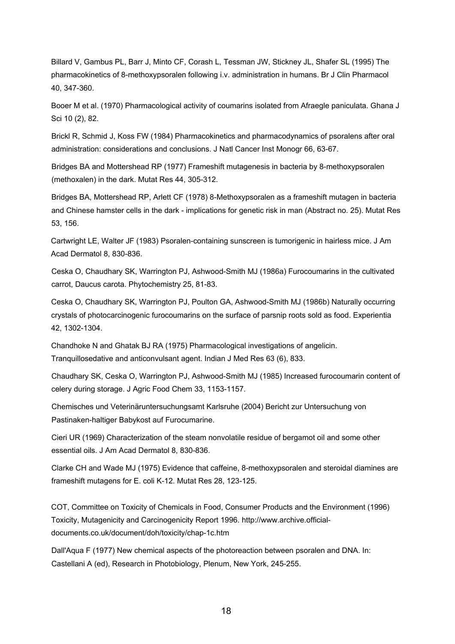Billard V, Gambus PL, Barr J, Minto CF, Corash L, Tessman JW, Stickney JL, Shafer SL (1995) The pharmacokinetics of 8-methoxypsoralen following i.v. administration in humans. Br J Clin Pharmacol 40, 347-360.

Booer M et al. (1970) Pharmacological activity of coumarins isolated from Afraegle paniculata. Ghana J Sci 10 (2), 82.

Brickl R, Schmid J, Koss FW (1984) Pharmacokinetics and pharmacodynamics of psoralens after oral administration: considerations and conclusions. J Natl Cancer Inst Monogr 66, 63-67.

Bridges BA and Mottershead RP (1977) Frameshift mutagenesis in bacteria by 8-methoxypsoralen (methoxalen) in the dark. Mutat Res 44, 305-312.

Bridges BA, Mottershead RP, Arlett CF (1978) 8-Methoxypsoralen as a frameshift mutagen in bacteria and Chinese hamster cells in the dark - implications for genetic risk in man (Abstract no. 25). Mutat Res 53, 156.

Cartwright LE, Walter JF (1983) Psoralen-containing sunscreen is tumorigenic in hairless mice. J Am Acad Dermatol 8, 830-836.

Ceska O, Chaudhary SK, Warrington PJ, Ashwood-Smith MJ (1986a) Furocoumarins in the cultivated carrot, Daucus carota. Phytochemistry 25, 81-83.

Ceska O, Chaudhary SK, Warrington PJ, Poulton GA, Ashwood-Smith MJ (1986b) Naturally occurring crystals of photocarcinogenic furocoumarins on the surface of parsnip roots sold as food. Experientia 42, 1302-1304.

Chandhoke N and Ghatak BJ RA (1975) Pharmacological investigations of angelicin. Tranquillosedative and anticonvulsant agent. Indian J Med Res 63 (6), 833.

Chaudhary SK, Ceska O, Warrington PJ, Ashwood-Smith MJ (1985) Increased furocoumarin content of celery during storage. J Agric Food Chem 33, 1153-1157.

Chemisches und Veterinäruntersuchungsamt Karlsruhe (2004) Bericht zur Untersuchung von Pastinaken-haltiger Babykost auf Furocumarine.

Cieri UR (1969) Characterization of the steam nonvolatile residue of bergamot oil and some other essential oils. J Am Acad Dermatol 8, 830-836.

Clarke CH and Wade MJ (1975) Evidence that caffeine, 8-methoxypsoralen and steroidal diamines are frameshift mutagens for E. coli K-12. Mutat Res 28, 123-125.

COT, Committee on Toxicity of Chemicals in Food, Consumer Products and the Environment (1996) Toxicity, Mutagenicity and Carcinogenicity Report 1996. http://www.archive.officialdocuments.co.uk/document/doh/toxicity/chap-1c.htm

Dall'Aqua F (1977) New chemical aspects of the photoreaction between psoralen and DNA. In: Castellani A (ed), Research in Photobiology, Plenum, New York, 245-255.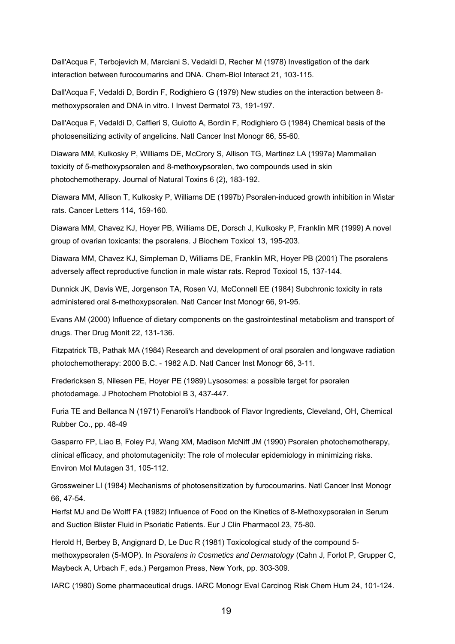Dall'Acqua F, Terbojevich M, Marciani S, Vedaldi D, Recher M (1978) Investigation of the dark interaction between furocoumarins and DNA. Chem-Biol Interact 21, 103-115.

Dall'Acqua F, Vedaldi D, Bordin F, Rodighiero G (1979) New studies on the interaction between 8 methoxypsoralen and DNA in vitro. I Invest Dermatol 73, 191-197.

Dall'Acqua F, Vedaldi D, Caffieri S, Guiotto A, Bordin F, Rodighiero G (1984) Chemical basis of the photosensitizing activity of angelicins. Natl Cancer Inst Monogr 66, 55-60.

Diawara MM, Kulkosky P, Williams DE, McCrory S, Allison TG, Martinez LA (1997a) Mammalian toxicity of 5-methoxypsoralen and 8-methoxypsoralen, two compounds used in skin photochemotherapy. Journal of Natural Toxins 6 (2), 183-192.

Diawara MM, Allison T, Kulkosky P, Williams DE (1997b) Psoralen-induced growth inhibition in Wistar rats. Cancer Letters 114, 159-160.

Diawara MM, Chavez KJ, Hoyer PB, Williams DE, Dorsch J, Kulkosky P, Franklin MR (1999) A novel group of ovarian toxicants: the psoralens. J Biochem Toxicol 13, 195-203.

Diawara MM, Chavez KJ, Simpleman D, Williams DE, Franklin MR, Hoyer PB (2001) The psoralens adversely affect reproductive function in male wistar rats. Reprod Toxicol 15, 137-144.

Dunnick JK, Davis WE, Jorgenson TA, Rosen VJ, McConnell EE (1984) Subchronic toxicity in rats administered oral 8-methoxypsoralen. Natl Cancer Inst Monogr 66, 91-95.

Evans AM (2000) Influence of dietary components on the gastrointestinal metabolism and transport of drugs. Ther Drug Monit 22, 131-136.

Fitzpatrick TB, Pathak MA (1984) Research and development of oral psoralen and longwave radiation photochemotherapy: 2000 B.C. - 1982 A.D. Natl Cancer Inst Monogr 66, 3-11.

Fredericksen S, Nilesen PE, Hoyer PE (1989) Lysosomes: a possible target for psoralen photodamage. J Photochem Photobiol B 3, 437-447.

Furia TE and Bellanca N (1971) Fenaroli's Handbook of Flavor Ingredients, Cleveland, OH, Chemical Rubber Co., pp. 48-49

Gasparro FP, Liao B, Foley PJ, Wang XM, Madison McNiff JM (1990) Psoralen photochemotherapy, clinical efficacy, and photomutagenicity: The role of molecular epidemiology in minimizing risks. Environ Mol Mutagen 31, 105-112.

Grossweiner LI (1984) Mechanisms of photosensitization by furocoumarins. Natl Cancer Inst Monogr 66, 47-54.

Herfst MJ and De Wolff FA (1982) Influence of Food on the Kinetics of 8-Methoxypsoralen in Serum and Suction Blister Fluid in Psoriatic Patients. Eur J Clin Pharmacol 23, 75-80.

Herold H, Berbey B, Angignard D, Le Duc R (1981) Toxicological study of the compound 5 methoxypsoralen (5-MOP). In *Psoralens in Cosmetics and Dermatology* (Cahn J, Forlot P, Grupper C, Maybeck A, Urbach F, eds.) Pergamon Press, New York, pp. 303-309.

IARC (1980) Some pharmaceutical drugs. IARC Monogr Eval Carcinog Risk Chem Hum 24, 101-124.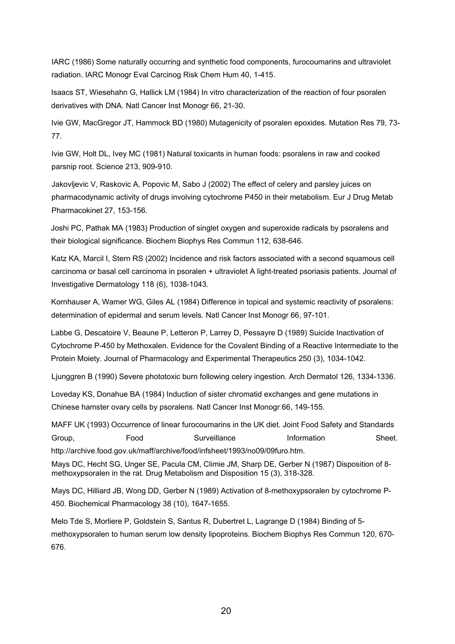IARC (1986) Some naturally occurring and synthetic food components, furocoumarins and ultraviolet radiation. IARC Monogr Eval Carcinog Risk Chem Hum 40, 1-415.

Isaacs ST, Wiesehahn G, Hallick LM (1984) In vitro characterization of the reaction of four psoralen derivatives with DNA. Natl Cancer Inst Monogr 66, 21-30.

Ivie GW, MacGregor JT, Hammock BD (1980) Mutagenicity of psoralen epoxides. Mutation Res 79, 73- 77.

Ivie GW, Holt DL, Ivey MC (1981) Natural toxicants in human foods: psoralens in raw and cooked parsnip root. Science 213, 909-910.

Jakovljevic V, Raskovic A, Popovic M, Sabo J (2002) The effect of celery and parsley juices on pharmacodynamic activity of drugs involving cytochrome P450 in their metabolism. Eur J Drug Metab Pharmacokinet 27, 153-156.

Joshi PC, Pathak MA (1983) Production of singlet oxygen and superoxide radicals by psoralens and their biological significance. Biochem Biophys Res Commun 112, 638-646.

Katz KA, Marcil I, Stern RS (2002) Incidence and risk factors associated with a second squamous cell carcinoma or basal cell carcinoma in psoralen + ultraviolet A light-treated psoriasis patients. Journal of Investigative Dermatology 118 (6), 1038-1043.

Kornhauser A, Wamer WG, Giles AL (1984) Difference in topical and systemic reactivity of psoralens: determination of epidermal and serum levels. Natl Cancer Inst Monogr 66, 97-101.

Labbe G, Descatoire V, Beaune P, Letteron P, Larrey D, Pessayre D (1989) Suicide Inactivation of Cytochrome P-450 by Methoxalen. Evidence for the Covalent Binding of a Reactive Intermediate to the Protein Moiety. Journal of Pharmacology and Experimental Therapeutics 250 (3), 1034-1042.

Ljunggren B (1990) Severe phototoxic burn following celery ingestion. Arch Dermatol 126, 1334-1336.

Loveday KS, Donahue BA (1984) Induction of sister chromatid exchanges and gene mutations in Chinese hamster ovary cells by psoralens. Natl Cancer Inst Monogr 66, 149-155.

MAFF UK (1993) Occurrence of linear furocoumarins in the UK diet. Joint Food Safety and Standards Group, The Surveillance **Information** Sheet. http://archive.food.gov.uk/maff/archive/food/infsheet/1993/no09/09furo.htm.

Mays DC, Hecht SG, Unger SE, Pacula CM, Climie JM, Sharp DE, Gerber N (1987) Disposition of 8 methoxypsoralen in the rat. Drug Metabolism and Disposition 15 (3), 318-328.

Mays DC, Hilliard JB, Wong DD, Gerber N (1989) Activation of 8-methoxypsoralen by cytochrome P-450. Biochemical Pharmacology 38 (10), 1647-1655.

Melo Tde S, Morliere P, Goldstein S, Santus R, Dubertret L, Lagrange D (1984) Binding of 5 methoxypsoralen to human serum low density lipoproteins. Biochem Biophys Res Commun 120, 670- 676.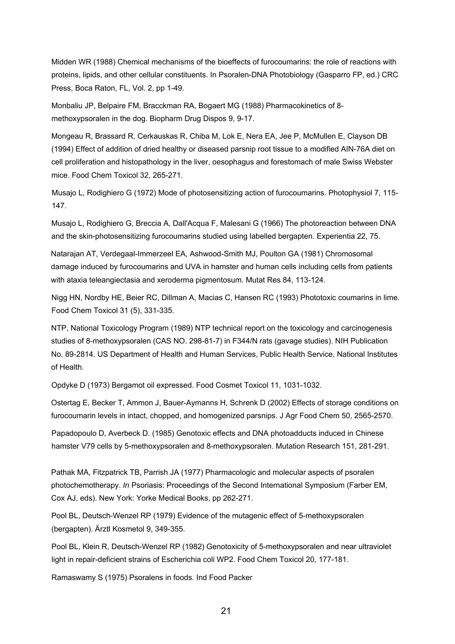Midden WR (1988) Chemical mechanisms of the bioeffects of furocoumarins: the role of reactions with proteins, lipids, and other cellular constituents. In Psoralen-DNA Photobiology (Gasparro FP, ed.) CRC Press, Boca Raton, FL, Vol. 2, pp 1-49.

Monbaliu JP, Belpaire FM, Bracckman RA, Bogaert MG (1988) Pharmacokinetics of 8 methoxypsoralen in the dog. Biopharm Drug Dispos 9, 9-17.

Mongeau R, Brassard R, Cerkauskas R, Chiba M, Lok E, Nera EA, Jee P, McMullen E, Clayson DB (1994) Effect of addition of dried healthy or diseased parsnip root tissue to a modified AIN-76A diet on cell proliferation and histopathology in the liver, oesophagus and forestomach of male Swiss Webster mice. Food Chem Toxicol 32, 265-271.

Musajo L, Rodighiero G (1972) Mode of photosensitizing action of furocoumarins. Photophysiol 7, 115- 147.

Musajo L, Rodighiero G, Breccia A, Dall'Acqua F, Malesani G (1966) The photoreaction between DNA and the skin-photosensitizing furocoumarins studied using labelled bergapten. Experientia 22, 75.

Natarajan AT, Verdegaal-Immerzeel EA, Ashwood-Smith MJ, Poulton GA (1981) Chromosomal damage induced by furocoumarins and UVA in hamster and human cells including cells from patients with ataxia teleangiectasia and xeroderma pigmentosum. Mutat Res 84, 113-124.

Nigg HN, Nordby HE, Beier RC, Dillman A, Macias C, Hansen RC (1993) Phototoxic coumarins in lime. Food Chem Toxicol 31 (5), 331-335.

NTP, National Toxicology Program (1989) NTP technical report on the toxicology and carcinogenesis studies of 8-methoxypsoralen (CAS NO. 298-81-7) in F344/N rats (gavage studies). NIH Publication No. 89-2814. US Department of Health and Human Services, Public Health Service, National Institutes of Health.

Opdyke D (1973) Bergamot oil expressed. Food Cosmet Toxicol 11, 1031-1032.

Ostertag E, Becker T, Ammon J, Bauer-Aymanns H, Schrenk D (2002) Effects of storage conditions on furocoumarin levels in intact, chopped, and homogenized parsnips. J Agr Food Chem 50, 2565-2570.

Papadopoulo D, Averbeck D. (1985) Genotoxic effects and DNA photoadducts induced in Chinese hamster V79 cells by 5-methoxypsoralen and 8-methoxypsoralen. Mutation Research 151, 281-291.

Pathak MA, Fitzpatrick TB, Parrish JA (1977) Pharmacologic and molecular aspects of psoralen photochemotherapy. *In* Psoriasis: Proceedings of the Second International Symposium (Farber EM, Cox AJ, eds). New York: Yorke Medical Books, pp 262-271.

Pool BL, Deutsch-Wenzel RP (1979) Evidence of the mutagenic effect of 5-methoxypsoralen (bergapten). Ärztl Kosmetol 9, 349-355.

Pool BL, Klein R, Deutsch-Wenzel RP (1982) Genotoxicity of 5-methoxypsoralen and near ultraviolet light in repair-deficient strains of Escherichia coli WP2. Food Chem Toxicol 20, 177-181.

Ramaswamy S (1975) Psoralens in foods. Ind Food Packer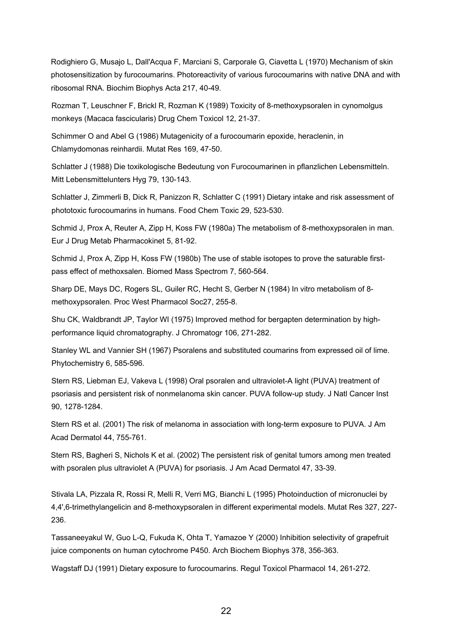Rodighiero G, Musajo L, Dall'Acqua F, Marciani S, Carporale G, Ciavetta L (1970) Mechanism of skin photosensitization by furocoumarins. Photoreactivity of various furocoumarins with native DNA and with ribosomal RNA. Biochim Biophys Acta 217, 40-49.

Rozman T, Leuschner F, Brickl R, Rozman K (1989) Toxicity of 8-methoxypsoralen in cynomolgus monkeys (Macaca fascicularis) Drug Chem Toxicol 12, 21-37.

Schimmer O and Abel G (1986) Mutagenicity of a furocoumarin epoxide, heraclenin, in Chlamydomonas reinhardii. Mutat Res 169, 47-50.

Schlatter J (1988) Die toxikologische Bedeutung von Furocoumarinen in pflanzlichen Lebensmitteln. Mitt Lebensmittelunters Hyg 79, 130-143.

Schlatter J, Zimmerli B, Dick R, Panizzon R, Schlatter C (1991) Dietary intake and risk assessment of phototoxic furocoumarins in humans. Food Chem Toxic 29, 523-530.

Schmid J, Prox A, Reuter A, Zipp H, Koss FW (1980a) The metabolism of 8-methoxypsoralen in man. Eur J Drug Metab Pharmacokinet 5, 81-92.

Schmid J, Prox A, Zipp H, Koss FW (1980b) The use of stable isotopes to prove the saturable firstpass effect of methoxsalen. Biomed Mass Spectrom 7, 560-564.

Sharp DE, Mays DC, Rogers SL, Guiler RC, Hecht S, Gerber N (1984) In vitro metabolism of 8 methoxypsoralen. Proc West Pharmacol Soc27, 255-8.

Shu CK, Waldbrandt JP, Taylor WI (1975) Improved method for bergapten determination by highperformance liquid chromatography. J Chromatogr 106, 271-282.

Stanley WL and Vannier SH (1967) Psoralens and substituted coumarins from expressed oil of lime. Phytochemistry 6, 585-596.

Stern RS, Liebman EJ, Vakeva L (1998) Oral psoralen and ultraviolet-A light (PUVA) treatment of psoriasis and persistent risk of nonmelanoma skin cancer. PUVA follow-up study. J Natl Cancer Inst 90, 1278-1284.

Stern RS et al. (2001) The risk of melanoma in association with long-term exposure to PUVA. J Am Acad Dermatol 44, 755-761.

Stern RS, Bagheri S, Nichols K et al. (2002) The persistent risk of genital tumors among men treated with psoralen plus ultraviolet A (PUVA) for psoriasis. J Am Acad Dermatol 47, 33-39.

Stivala LA, Pizzala R, Rossi R, Melli R, Verri MG, Bianchi L (1995) Photoinduction of micronuclei by 4,4',6-trimethylangelicin and 8-methoxypsoralen in different experimental models. Mutat Res 327, 227- 236.

Tassaneeyakul W, Guo L-Q, Fukuda K, Ohta T, Yamazoe Y (2000) Inhibition selectivity of grapefruit juice components on human cytochrome P450. Arch Biochem Biophys 378, 356-363.

Wagstaff DJ (1991) Dietary exposure to furocoumarins. Regul Toxicol Pharmacol 14, 261-272.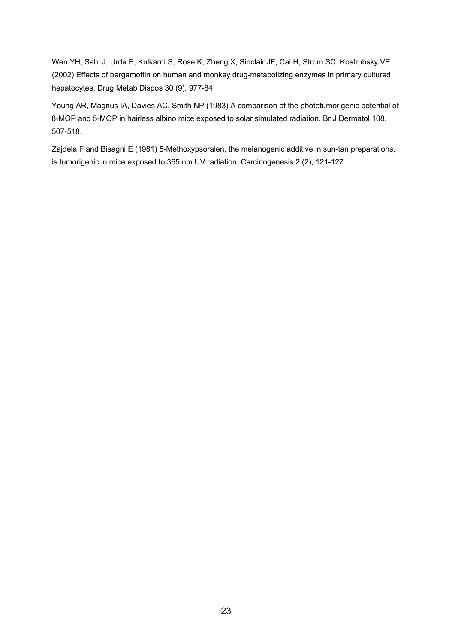Wen YH, Sahi J, Urda E, Kulkarni S, Rose K, Zheng X, Sinclair JF, Cai H, Strom SC, Kostrubsky VE (2002) Effects of bergamottin on human and monkey drug-metabolizing enzymes in primary cultured hepatocytes. Drug Metab Dispos 30 (9), 977-84.

Young AR, Magnus IA, Davies AC, Smith NP (1983) A comparison of the phototumorigenic potential of 8-MOP and 5-MOP in hairless albino mice exposed to solar simulated radiation. Br J Dermatol 108, 507-518.

Zajdela F and Bisagni E (1981) 5-Methoxypsoralen, the melanogenic additive in sun-tan preparations, is tumorigenic in mice exposed to 365 nm UV radiation. Carcinogenesis 2 (2), 121-127.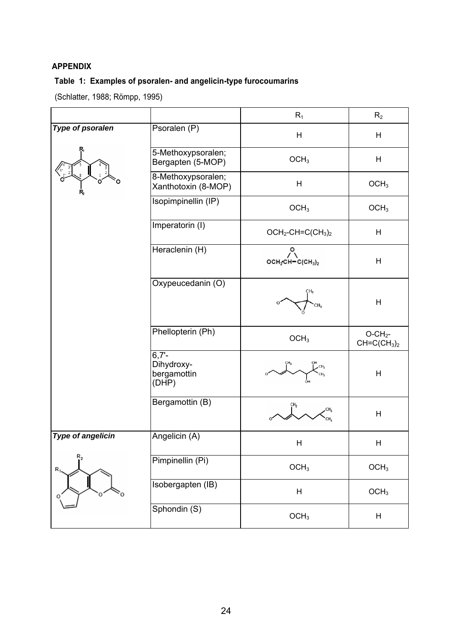## **APPENDIX**

## **Table 1: Examples of psoralen- and angelicin-type furocoumarins**

(Schlatter, 1988; Römpp, 1995)

|                          |                                                | $R_1$                     | R <sub>2</sub>            |
|--------------------------|------------------------------------------------|---------------------------|---------------------------|
| Type of psoralen         | Psoralen (P)                                   | H                         | H                         |
|                          | 5-Methoxypsoralen;<br>Bergapten (5-MOP)        | OCH <sub>3</sub>          | H                         |
|                          | 8-Methoxypsoralen;<br>Xanthotoxin (8-MOP)      | H                         | OCH <sub>3</sub>          |
|                          | Isopimpinellin (IP)                            | OCH <sub>3</sub>          | OCH <sub>3</sub>          |
|                          | Imperatorin (I)                                | $OCH2-CH=C(CH3)2$         | H                         |
|                          | Heraclenin (H)                                 | $OCH2CH-C(CH3)2$          | $\boldsymbol{\mathsf{H}}$ |
|                          | Oxypeucedanin (O)                              | ÇН3<br>CH <sub>3</sub>    | $\boldsymbol{\mathsf{H}}$ |
|                          | Phellopterin (Ph)                              | OCH <sub>3</sub>          | $O-CH2$ -<br>$CH=C(CH3)2$ |
|                          | $6,7'$ -<br>Dihydroxy-<br>bergamottin<br>(DHP) |                           | $\boldsymbol{\mathsf{H}}$ |
|                          | Bergamottin (B)                                | CH <sub>3</sub><br>CH,    | $\boldsymbol{\mathsf{H}}$ |
| <b>Type of angelicin</b> | Angelicin (A)                                  | H                         | Н                         |
| $R_{2}$<br>$R_{1}$       | Pimpinellin (Pi)                               | OCH <sub>3</sub>          | OCH <sub>3</sub>          |
|                          | Isobergapten (IB)                              | $\boldsymbol{\mathsf{H}}$ | OCH <sub>3</sub>          |
|                          | Sphondin (S)                                   | OCH <sub>3</sub>          | H                         |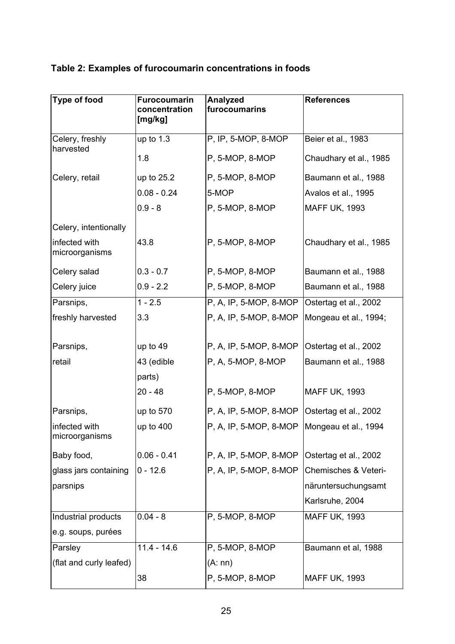| Type of food                    | <b>Furocoumarin</b><br>concentration<br>[mg/kg] | Analyzed<br>furocoumarins | <b>References</b>      |
|---------------------------------|-------------------------------------------------|---------------------------|------------------------|
| Celery, freshly<br>harvested    | up to $1.3$                                     | P, IP, 5-MOP, 8-MOP       | Beier et al., 1983     |
|                                 | 1.8                                             | P, 5-MOP, 8-MOP           | Chaudhary et al., 1985 |
| Celery, retail                  | up to 25.2                                      | P, 5-MOP, 8-MOP           | Baumann et al., 1988   |
|                                 | $0.08 - 0.24$                                   | 5-MOP                     | Avalos et al., 1995    |
|                                 | $0.9 - 8$                                       | P, 5-MOP, 8-MOP           | MAFF UK, 1993          |
| Celery, intentionally           |                                                 |                           |                        |
| infected with<br>microorganisms | 43.8                                            | P, 5-MOP, 8-MOP           | Chaudhary et al., 1985 |
| Celery salad                    | $0.3 - 0.7$                                     | P, 5-MOP, 8-MOP           | Baumann et al., 1988   |
| .                               | .                                               |                           |                        |

# **Table 2: Examples of furocoumarin concentrations in foods**

|                                 | ບ.ບ - ບ       | ורטוויוס , ורטוויוס , ו | 1                               |
|---------------------------------|---------------|-------------------------|---------------------------------|
| Celery, intentionally           |               |                         |                                 |
| infected with<br>microorganisms | 43.8          | P, 5-MOP, 8-MOP         | Chaudhary et al., 1985          |
| Celery salad                    | $0.3 - 0.7$   | P, 5-MOP, 8-MOP         | Baumann et al., 1988            |
| Celery juice                    | $0.9 - 2.2$   | P, 5-MOP, 8-MOP         | Baumann et al., 1988            |
| Parsnips,                       | $1 - 2.5$     | P, A, IP, 5-MOP, 8-MOP  | Ostertag et al., 2002           |
| freshly harvested               | 3.3           | P, A, IP, 5-MOP, 8-MOP  | Mongeau et al., 1994;           |
| Parsnips,                       | up to 49      | P, A, IP, 5-MOP, 8-MOP  | Ostertag et al., 2002           |
| retail                          | 43 (edible    | P, A, 5-MOP, 8-MOP      | Baumann et al., 1988            |
|                                 | parts)        |                         |                                 |
|                                 | $20 - 48$     | P, 5-MOP, 8-MOP         | <b>MAFF UK, 1993</b>            |
| Parsnips,                       | up to 570     | P, A, IP, 5-MOP, 8-MOP  | Ostertag et al., 2002           |
| infected with<br>microorganisms | up to 400     | P, A, IP, 5-MOP, 8-MOP  | Mongeau et al., 1994            |
| Baby food,                      | $0.06 - 0.41$ | P, A, IP, 5-MOP, 8-MOP  | Ostertag et al., 2002           |
| glass jars containing           | $0 - 12.6$    | P, A, IP, 5-MOP, 8-MOP  | <b>Chemisches &amp; Veteri-</b> |
| parsnips                        |               |                         | näruntersuchungsamt             |
|                                 |               |                         | Karlsruhe, 2004                 |
| Industrial products             | $0.04 - 8$    | P, 5-MOP, 8-MOP         | <b>MAFF UK, 1993</b>            |
| e.g. soups, purées              |               |                         |                                 |
| Parsley                         | $11.4 - 14.6$ | P, 5-MOP, 8-MOP         | Baumann et al, 1988             |
| (flat and curly leafed)         |               | (A: nn)                 |                                 |
|                                 | 38            | P, 5-MOP, 8-MOP         | <b>MAFF UK, 1993</b>            |
|                                 |               |                         |                                 |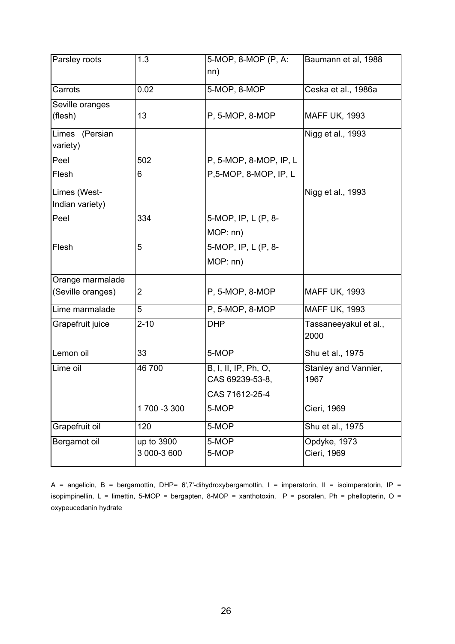| Parsley roots                   | 1.3         | 5-MOP, 8-MOP (P, A:<br>nn)              | Baumann et al, 1988           |
|---------------------------------|-------------|-----------------------------------------|-------------------------------|
| Carrots                         | 0.02        | 5-MOP, 8-MOP                            | Ceska et al., 1986a           |
| Seville oranges<br>(flesh)      | 13          | P, 5-MOP, 8-MOP                         | <b>MAFF UK, 1993</b>          |
| Limes (Persian<br>variety)      |             |                                         | Nigg et al., 1993             |
| Peel                            | 502         | P, 5-MOP, 8-MOP, IP, L                  |                               |
| Flesh                           | 6           | P,5-MOP, 8-MOP, IP, L                   |                               |
| Limes (West-<br>Indian variety) |             |                                         | Nigg et al., 1993             |
| Peel                            | 334         | 5-MOP, IP, L (P, 8-<br>MOP: nn)         |                               |
| Flesh                           | 5           | 5-MOP, IP, L (P, 8-<br>MOP: nn)         |                               |
| Orange marmalade                |             |                                         |                               |
| (Seville oranges)               | 2           | P, 5-MOP, 8-MOP                         | <b>MAFF UK, 1993</b>          |
| Lime marmalade                  | 5           | P, 5-MOP, 8-MOP                         | <b>MAFF UK, 1993</b>          |
| Grapefruit juice                | $2 - 10$    | <b>DHP</b>                              | Tassaneeyakul et al.,<br>2000 |
| Lemon oil                       | 33          | 5-MOP                                   | Shu et al., 1975              |
| Lime oil                        | 46 700      | B, I, II, IP, Ph, O,<br>CAS 69239-53-8, | Stanley and Vannier,<br>1967  |
|                                 |             | CAS 71612-25-4                          |                               |
|                                 | 1700 -3300  | 5-MOP                                   | Cieri, 1969                   |
| Grapefruit oil                  | 120         | 5-MOP                                   | Shu et al., 1975              |
| Bergamot oil                    | up to 3900  | 5-MOP                                   | Opdyke, 1973                  |
|                                 | 3 000-3 600 | 5-MOP                                   | Cieri, 1969                   |

A = angelicin, B = bergamottin, DHP= 6',7'-dihydroxybergamottin, I = imperatorin, II = isoimperatorin, IP = isopimpinellin, L = limettin, 5-MOP = bergapten, 8-MOP = xanthotoxin, P = psoralen, Ph = phellopterin, O = oxypeucedanin hydrate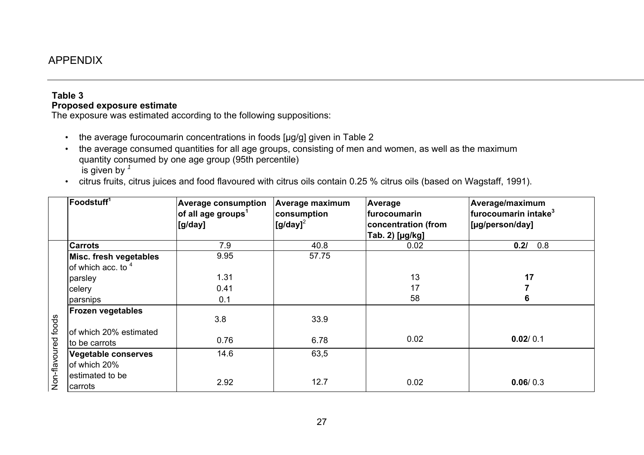## APPENDIX

#### **Table 3**

#### **Proposed exposure estimate**

The exposure was estimated according to the following suppositions:

- the average furocoumarin concentrations in foods [µg/g] given in Table 2
- the average consumed quantities for all age groups, consisting of men and women, as well as the maximum quantity consumed by one age group (95th percentile) is given by *<sup>1</sup>*
- citrus fruits, citrus juices and food flavoured with citrus oils contain 0.25 % citrus oils (based on Wagstaff, 1991).

|                     | Foodstuff <sup>1</sup>                       | <b>Average consumption</b><br>of all age groups <sup>1</sup><br>[g/day] | <b>Average maximum</b><br>consumption<br>[g/day] $^2$ | Average<br>furocoumarin<br>concentration (from<br>Tab. 2) [µg/kg] | Average/maximum<br>furocoumarin intake <sup>3</sup><br>[µg/person/day] |
|---------------------|----------------------------------------------|-------------------------------------------------------------------------|-------------------------------------------------------|-------------------------------------------------------------------|------------------------------------------------------------------------|
|                     | <b>Carrots</b>                               | 7.9                                                                     | 40.8                                                  | 0.02                                                              | 0.8<br>0.2/                                                            |
|                     | Misc. fresh vegetables<br>of which acc. to 4 | 9.95                                                                    | 57.75                                                 |                                                                   |                                                                        |
|                     | parsley                                      | 1.31                                                                    |                                                       | 13                                                                | 17                                                                     |
|                     | celery                                       | 0.41                                                                    |                                                       | 17                                                                |                                                                        |
|                     | parsnips                                     | 0.1                                                                     |                                                       | 58                                                                | 6                                                                      |
|                     | <b>Frozen vegetables</b>                     | 3.8                                                                     | 33.9                                                  |                                                                   |                                                                        |
|                     | of which 20% estimated<br>to be carrots      | 0.76                                                                    | 6.78                                                  | 0.02                                                              | 0.02/0.1                                                               |
|                     | Vegetable conserves<br>of which 20%          | 14.6                                                                    | 63,5                                                  |                                                                   |                                                                        |
| Non-flavoured foods | estimated to be<br>carrots                   | 2.92                                                                    | 12.7                                                  | 0.02                                                              | 0.06/0.3                                                               |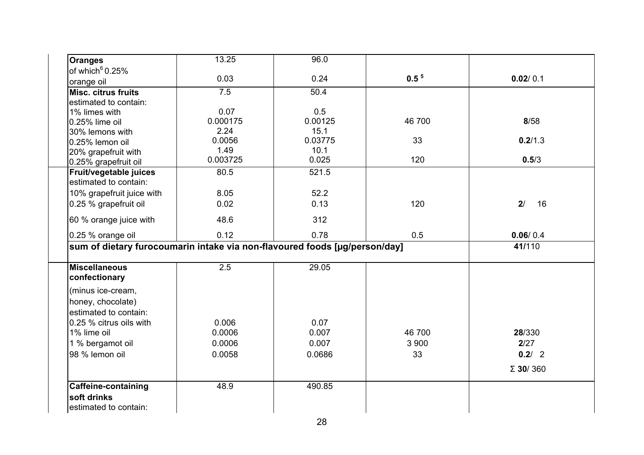| <b>Oranges</b>                                                             | 13.25            | 96.0    |                  |                 |
|----------------------------------------------------------------------------|------------------|---------|------------------|-----------------|
| of which <sup>6</sup> 0.25%                                                | 0.03             | 0.24    | 0.5 <sup>5</sup> | 0.02/0.1        |
| orange oil                                                                 |                  |         |                  |                 |
| Misc. citrus fruits                                                        | $\overline{7.5}$ | 50.4    |                  |                 |
| estimated to contain:                                                      |                  |         |                  |                 |
| 1% limes with                                                              | 0.07             | 0.5     |                  |                 |
| 0.25% lime oil                                                             | 0.000175         | 0.00125 | 46 700           | 8/58            |
| 30% lemons with                                                            | 2.24             | 15.1    |                  |                 |
| 0.25% lemon oil                                                            | 0.0056           | 0.03775 | 33               | 0.2/1.3         |
| 20% grapefruit with                                                        | 1.49             | 10.1    |                  |                 |
| 0.25% grapefruit oil                                                       | 0.003725         | 0.025   | 120              | 0.5/3           |
| Fruit/vegetable juices                                                     | 80.5             | 521.5   |                  |                 |
| estimated to contain:                                                      |                  |         |                  |                 |
| 10% grapefruit juice with                                                  | 8.05             | 52.2    |                  |                 |
| 0.25 % grapefruit oil                                                      | 0.02             | 0.13    | 120              | 2/<br>16        |
| 60 % orange juice with                                                     | 48.6             | 312     |                  |                 |
| 0.25 % orange oil                                                          | 0.12             | 0.78    | 0.5              | 0.06/0.4        |
| sum of dietary furocoumarin intake via non-flavoured foods [µg/person/day] |                  |         |                  | 41/110          |
| <b>Miscellaneous</b><br>confectionary                                      | 2.5              | 29.05   |                  |                 |
| (minus ice-cream,                                                          |                  |         |                  |                 |
| honey, chocolate)                                                          |                  |         |                  |                 |
| estimated to contain:                                                      |                  |         |                  |                 |
| 0.25 % citrus oils with                                                    | 0.006            | 0.07    |                  |                 |
| 1% lime oil                                                                | 0.0006           | 0.007   | 46 700           | 28/330          |
| 1 % bergamot oil                                                           | 0.0006           | 0.007   | 3 9 0 0          | 2/27            |
| 98 % lemon oil                                                             | 0.0058           | 0.0686  | 33               | 0.2/2           |
|                                                                            |                  |         |                  |                 |
|                                                                            |                  |         |                  | $\Sigma$ 30/360 |
| <b>Caffeine-containing</b>                                                 | 48.9             | 490.85  |                  |                 |
| soft drinks                                                                |                  |         |                  |                 |
| estimated to contain:                                                      |                  |         |                  |                 |

 $\mathbf{r}$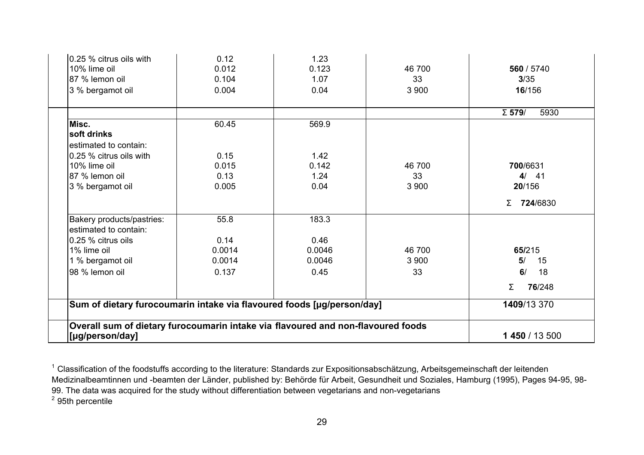| $\vert$ 0.25 % citrus oils with                                                                     | 0.12   | 1.23   |         |                       |
|-----------------------------------------------------------------------------------------------------|--------|--------|---------|-----------------------|
| 10% lime oil                                                                                        | 0.012  | 0.123  | 46 700  | 560 / 5740            |
| 87 % lemon oil                                                                                      | 0.104  | 1.07   | 33      | 3/35                  |
| 3 % bergamot oil                                                                                    | 0.004  | 0.04   | 3 9 0 0 | 16/156                |
|                                                                                                     |        |        |         | $\Sigma$ 579/<br>5930 |
| Misc.                                                                                               | 60.45  | 569.9  |         |                       |
| soft drinks                                                                                         |        |        |         |                       |
| estimated to contain:                                                                               |        |        |         |                       |
| 0.25 % citrus oils with                                                                             | 0.15   | 1.42   |         |                       |
| 10% lime oil                                                                                        | 0.015  | 0.142  | 46 700  | 700/6631              |
| 87 % lemon oil                                                                                      | 0.13   | 1.24   | 33      | 4/41                  |
| 3 % bergamot oil                                                                                    | 0.005  | 0.04   | 3 9 0 0 | 20/156                |
|                                                                                                     |        |        |         | 724/6830<br>Σ         |
| Bakery products/pastries:<br>estimated to contain:                                                  | 55.8   | 183.3  |         |                       |
| 0.25 % citrus oils                                                                                  | 0.14   | 0.46   |         |                       |
| 1% lime oil                                                                                         | 0.0014 | 0.0046 | 46 700  | 65/215                |
| 1 % bergamot oil                                                                                    | 0.0014 | 0.0046 | 3 9 0 0 | 5/<br>15              |
| 98 % lemon oil                                                                                      | 0.137  | 0.45   | 33      | 18<br>6/              |
|                                                                                                     |        |        |         | Σ<br>76/248           |
| Sum of dietary furocoumarin intake via flavoured foods [µg/person/day]                              |        |        |         | 1409/13 370           |
| Overall sum of dietary furocoumarin intake via flavoured and non-flavoured foods<br>[µg/person/day] |        |        |         | 1 450 / 13 500        |

1 Classification of the foodstuffs according to the literature: Standards zur Expositionsabschätzung, Arbeitsgemeinschaft der leitenden Medizinalbeamtinnen und -beamten der Länder, published by: Behörde für Arbeit, Gesundheit und Soziales, Hamburg (1995), Pages 94-95, 98- 99. The data was acquired for the study without differentiation between vegetarians and non-vegetarians

 $2$  95th percentile